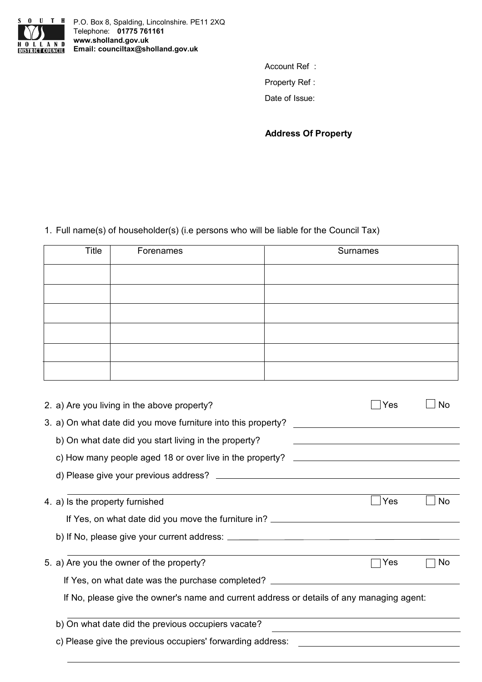

P.O. Box 8, Spalding, Lincolnshire. PE11 2XQ Telephone: **01775 761161 www.sholland.gov.uk EMAIL LAND WWW.sholland.gov.uk**<br> **Email:** counciltax@sholland.gov.uk

Account Ref :

Property Ref :

Date of Issue:

**Address Of Property**

Full name(s) of householder(s) (i.e persons who will be liable for the Council Tax) 1.

| Title | Forenames | Surnames |
|-------|-----------|----------|
|       |           |          |
|       |           |          |
|       |           |          |
|       |           |          |
|       |           |          |
|       |           |          |

| 2. a) Are you living in the above property?                                                                                                        | Yes | <b>No</b> |
|----------------------------------------------------------------------------------------------------------------------------------------------------|-----|-----------|
| 3. a) On what date did you move furniture into this property?                                                                                      |     |           |
| b) On what date did you start living in the property?<br>the control of the control of the control of the control of the control of the control of |     |           |
|                                                                                                                                                    |     |           |
|                                                                                                                                                    |     |           |
| 4. a) is the property furnished                                                                                                                    | Yes | <b>No</b> |
| If Yes, on what date did you move the furniture in?                                                                                                |     |           |
|                                                                                                                                                    |     |           |
| 5. a) Are you the owner of the property?                                                                                                           | Yes | No.       |
| If Yes, on what date was the purchase completed? _______________________________                                                                   |     |           |
| If No, please give the owner's name and current address or details of any managing agent:                                                          |     |           |
| b) On what date did the previous occupiers vacate?                                                                                                 |     |           |
| c) Please give the previous occupiers' forwarding address:                                                                                         |     |           |